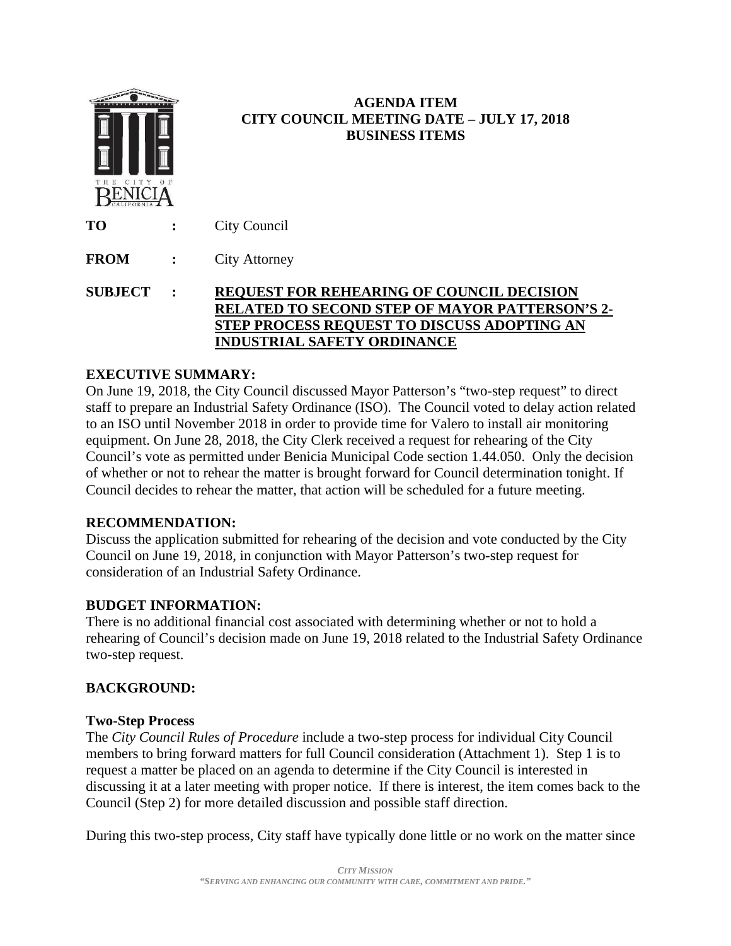

# **AGENDA ITEM CITY COUNCIL MEETING DATE – JULY 17, 2018 BUSINESS ITEMS**

**TO :** City Council

**FROM :** City Attorney

**SUBJECT : REQUEST FOR REHEARING OF COUNCIL DECISION RELATED TO SECOND STEP OF MAYOR PATTERSON'S 2- STEP PROCESS REQUEST TO DISCUSS ADOPTING AN INDUSTRIAL SAFETY ORDINANCE**

## **EXECUTIVE SUMMARY:**

On June 19, 2018, the City Council discussed Mayor Patterson's "two-step request" to direct staff to prepare an Industrial Safety Ordinance (ISO). The Council voted to delay action related to an ISO until November 2018 in order to provide time for Valero to install air monitoring equipment. On June 28, 2018, the City Clerk received a request for rehearing of the City Council's vote as permitted under Benicia Municipal Code section 1.44.050. Only the decision of whether or not to rehear the matter is brought forward for Council determination tonight. If Council decides to rehear the matter, that action will be scheduled for a future meeting.

## **RECOMMENDATION:**

Discuss the application submitted for rehearing of the decision and vote conducted by the City Council on June 19, 2018, in conjunction with Mayor Patterson's two-step request for consideration of an Industrial Safety Ordinance.

## **BUDGET INFORMATION:**

There is no additional financial cost associated with determining whether or not to hold a rehearing of Council's decision made on June 19, 2018 related to the Industrial Safety Ordinance two-step request.

# **BACKGROUND:**

## **Two-Step Process**

The *City Council Rules of Procedure* include a two-step process for individual City Council members to bring forward matters for full Council consideration (Attachment 1). Step 1 is to request a matter be placed on an agenda to determine if the City Council is interested in discussing it at a later meeting with proper notice. If there is interest, the item comes back to the Council (Step 2) for more detailed discussion and possible staff direction.

During this two-step process, City staff have typically done little or no work on the matter since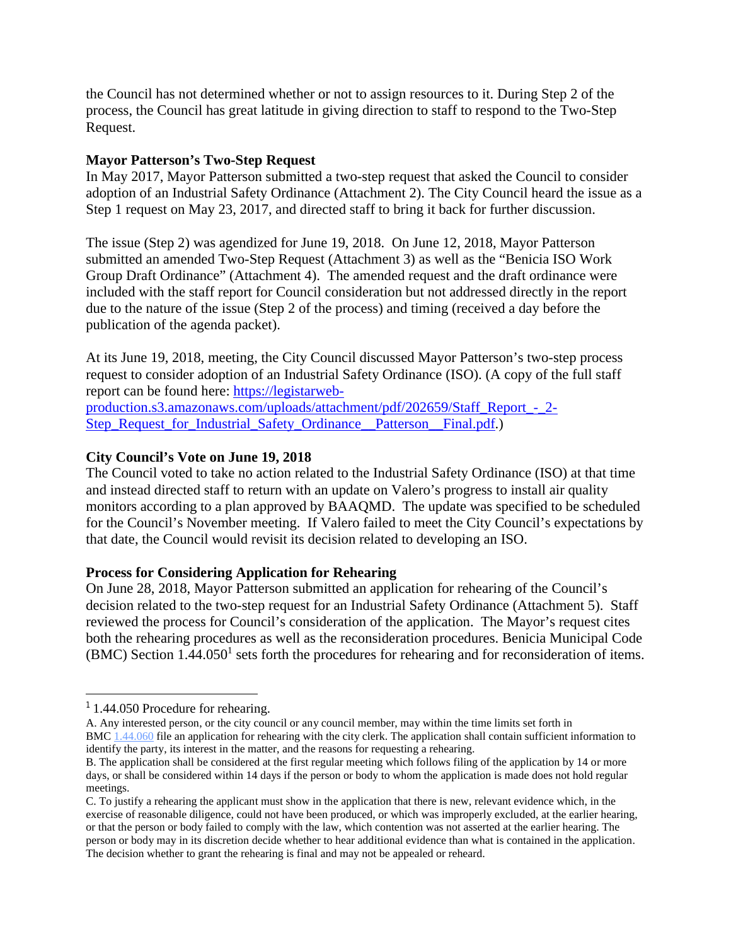the Council has not determined whether or not to assign resources to it. During Step 2 of the process, the Council has great latitude in giving direction to staff to respond to the Two-Step Request.

#### **Mayor Patterson's Two-Step Request**

In May 2017, Mayor Patterson submitted a two-step request that asked the Council to consider adoption of an Industrial Safety Ordinance (Attachment 2). The City Council heard the issue as a Step 1 request on May 23, 2017, and directed staff to bring it back for further discussion.

The issue (Step 2) was agendized for June 19, 2018. On June 12, 2018, Mayor Patterson submitted an amended Two-Step Request (Attachment 3) as well as the "Benicia ISO Work Group Draft Ordinance" (Attachment 4). The amended request and the draft ordinance were included with the staff report for Council consideration but not addressed directly in the report due to the nature of the issue (Step 2 of the process) and timing (received a day before the publication of the agenda packet).

At its June 19, 2018, meeting, the City Council discussed Mayor Patterson's two-step process request to consider adoption of an Industrial Safety Ordinance (ISO). (A copy of the full staff report can be found here: https://legistarweb-

production.s3.amazonaws.com/uploads/attachment/pdf/202659/Staff\_Report\_-\_2- Step Request for Industrial Safety Ordinance Patterson Final.pdf.)

## **City Council's Vote on June 19, 2018**

The Council voted to take no action related to the Industrial Safety Ordinance (ISO) at that time and instead directed staff to return with an update on Valero's progress to install air quality monitors according to a plan approved by BAAQMD. The update was specified to be scheduled for the Council's November meeting. If Valero failed to meet the City Council's expectations by that date, the Council would revisit its decision related to developing an ISO.

#### **Process for Considering Application for Rehearing**

On June 28, 2018, Mayor Patterson submitted an application for rehearing of the Council's decision related to the two-step request for an Industrial Safety Ordinance (Attachment 5). Staff reviewed the process for Council's consideration of the application. The Mayor's request cites both the rehearing procedures as well as the reconsideration procedures. Benicia Municipal Code  $(BMC)$  Section 1.44.050<sup>1</sup> sets forth the procedures for rehearing and for reconsideration of items.

l

A. Any interested person, or the city council or any council member, may within the time limits set forth in BMC 1.44.060 file an application for rehearing with the city clerk. The application shall contain sufficient information to identify the party, its interest in the matter, and the reasons for requesting a rehearing.

<sup>&</sup>lt;sup>1</sup> 1.44.050 Procedure for rehearing.

B. The application shall be considered at the first regular meeting which follows filing of the application by 14 or more days, or shall be considered within 14 days if the person or body to whom the application is made does not hold regular meetings.

C. To justify a rehearing the applicant must show in the application that there is new, relevant evidence which, in the exercise of reasonable diligence, could not have been produced, or which was improperly excluded, at the earlier hearing, or that the person or body failed to comply with the law, which contention was not asserted at the earlier hearing. The person or body may in its discretion decide whether to hear additional evidence than what is contained in the application. The decision whether to grant the rehearing is final and may not be appealed or reheard.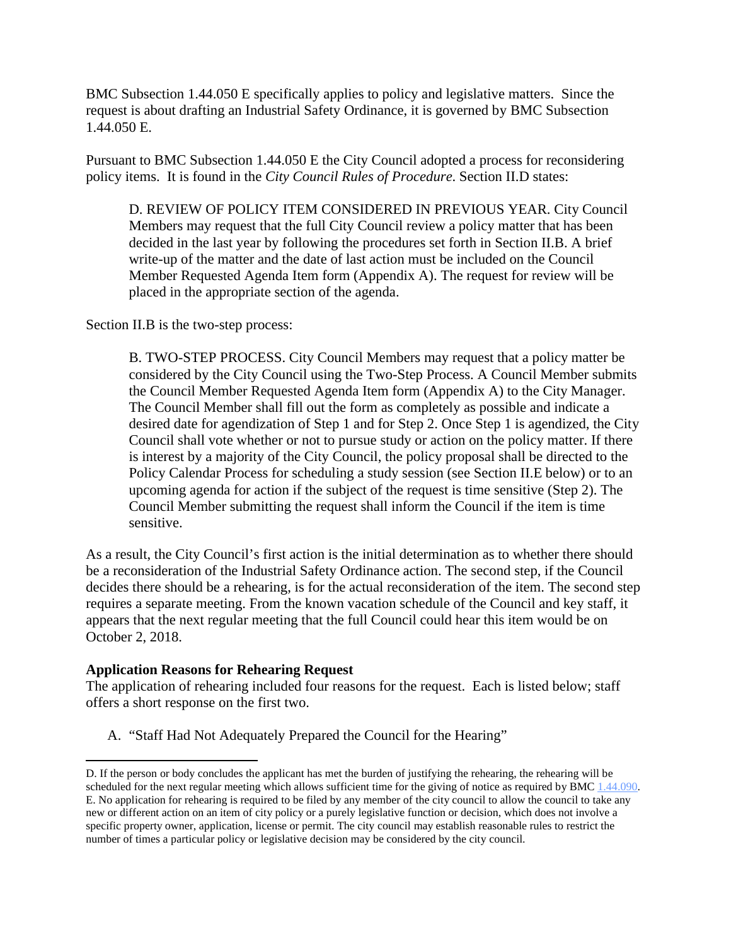BMC Subsection 1.44.050 E specifically applies to policy and legislative matters. Since the request is about drafting an Industrial Safety Ordinance, it is governed by BMC Subsection 1.44.050 E.

Pursuant to BMC Subsection 1.44.050 E the City Council adopted a process for reconsidering policy items. It is found in the *City Council Rules of Procedure*. Section II.D states:

D. REVIEW OF POLICY ITEM CONSIDERED IN PREVIOUS YEAR. City Council Members may request that the full City Council review a policy matter that has been decided in the last year by following the procedures set forth in Section II.B. A brief write-up of the matter and the date of last action must be included on the Council Member Requested Agenda Item form (Appendix A). The request for review will be placed in the appropriate section of the agenda.

Section II.B is the two-step process:

B. TWO-STEP PROCESS. City Council Members may request that a policy matter be considered by the City Council using the Two-Step Process. A Council Member submits the Council Member Requested Agenda Item form (Appendix A) to the City Manager. The Council Member shall fill out the form as completely as possible and indicate a desired date for agendization of Step 1 and for Step 2. Once Step 1 is agendized, the City Council shall vote whether or not to pursue study or action on the policy matter. If there is interest by a majority of the City Council, the policy proposal shall be directed to the Policy Calendar Process for scheduling a study session (see Section II.E below) or to an upcoming agenda for action if the subject of the request is time sensitive (Step 2). The Council Member submitting the request shall inform the Council if the item is time sensitive.

As a result, the City Council's first action is the initial determination as to whether there should be a reconsideration of the Industrial Safety Ordinance action. The second step, if the Council decides there should be a rehearing, is for the actual reconsideration of the item. The second step requires a separate meeting. From the known vacation schedule of the Council and key staff, it appears that the next regular meeting that the full Council could hear this item would be on October 2, 2018.

## **Application Reasons for Rehearing Request**

 $\overline{a}$ 

The application of rehearing included four reasons for the request. Each is listed below; staff offers a short response on the first two.

A. "Staff Had Not Adequately Prepared the Council for the Hearing"

D. If the person or body concludes the applicant has met the burden of justifying the rehearing, the rehearing will be scheduled for the next regular meeting which allows sufficient time for the giving of notice as required by BMC 1.44.090. E. No application for rehearing is required to be filed by any member of the city council to allow the council to take any new or different action on an item of city policy or a purely legislative function or decision, which does not involve a specific property owner, application, license or permit. The city council may establish reasonable rules to restrict the number of times a particular policy or legislative decision may be considered by the city council.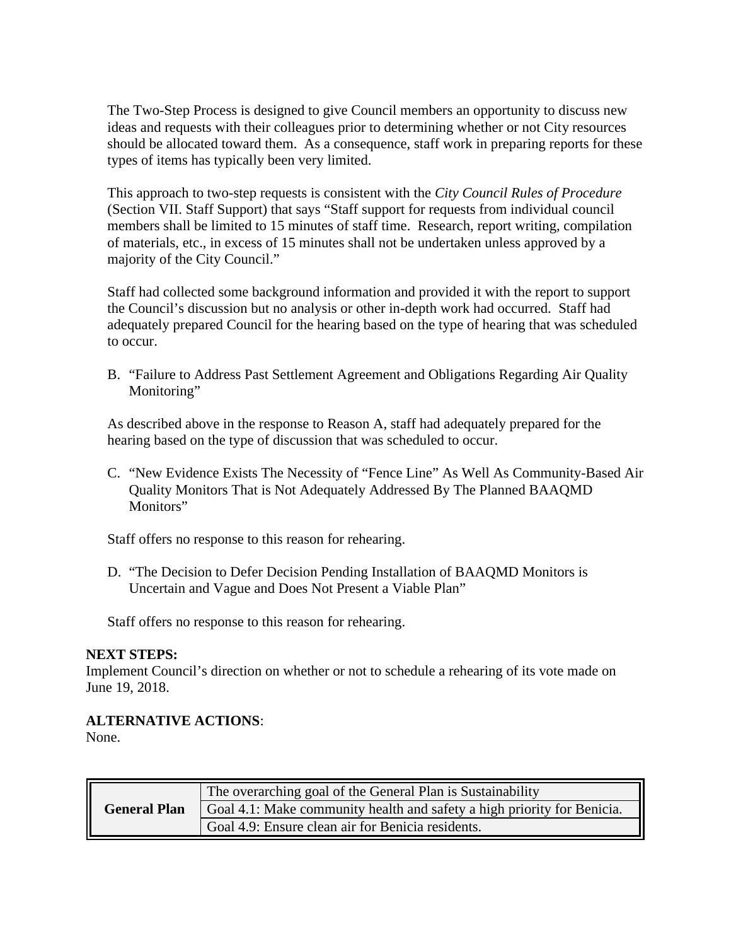The Two-Step Process is designed to give Council members an opportunity to discuss new ideas and requests with their colleagues prior to determining whether or not City resources should be allocated toward them. As a consequence, staff work in preparing reports for these types of items has typically been very limited.

This approach to two-step requests is consistent with the *City Council Rules of Procedure* (Section VII. Staff Support) that says "Staff support for requests from individual council members shall be limited to 15 minutes of staff time. Research, report writing, compilation of materials, etc., in excess of 15 minutes shall not be undertaken unless approved by a majority of the City Council."

Staff had collected some background information and provided it with the report to support the Council's discussion but no analysis or other in-depth work had occurred. Staff had adequately prepared Council for the hearing based on the type of hearing that was scheduled to occur.

B. "Failure to Address Past Settlement Agreement and Obligations Regarding Air Quality Monitoring"

As described above in the response to Reason A, staff had adequately prepared for the hearing based on the type of discussion that was scheduled to occur.

C. "New Evidence Exists The Necessity of "Fence Line" As Well As Community-Based Air Quality Monitors That is Not Adequately Addressed By The Planned BAAQMD Monitors"

Staff offers no response to this reason for rehearing.

D. "The Decision to Defer Decision Pending Installation of BAAQMD Monitors is Uncertain and Vague and Does Not Present a Viable Plan"

Staff offers no response to this reason for rehearing.

#### **NEXT STEPS:**

Implement Council's direction on whether or not to schedule a rehearing of its vote made on June 19, 2018.

## **ALTERNATIVE ACTIONS**:

None.

| <b>General Plan</b> | The overarching goal of the General Plan is Sustainability              |
|---------------------|-------------------------------------------------------------------------|
|                     | Goal 4.1: Make community health and safety a high priority for Benicia. |
|                     | Goal 4.9: Ensure clean air for Benicia residents.                       |